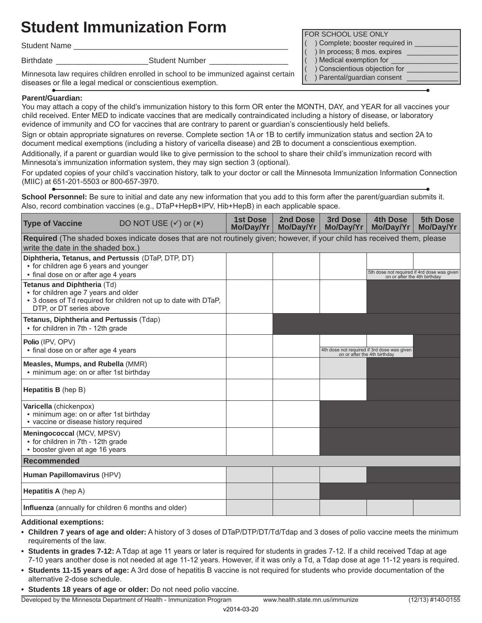# **Student Immunization Form Form Form Form FOR SCHOOL USE ONLY**

Student Name

Birthdate \_\_\_\_\_\_\_\_\_\_\_\_\_\_\_\_\_\_\_\_\_Student Number \_\_\_\_\_\_\_\_\_\_\_\_\_\_\_\_\_\_

Minnesota law requires children enrolled in school to be immunized against certain diseases or file a legal medical or conscientious exemption.

## **Parent/Guardian:**

You may attach a copy of the child's immunization history to this form OR enter the MONTH, DAY, and YEAR for all vaccines your child received. Enter MED to indicate vaccines that are medically contraindicated including a history of disease, or laboratory evidence of immunity and CO for vaccines that are contrary to parent or guardian's conscientiously held beliefs.

Sign or obtain appropriate signatures on reverse. Complete section 1A or 1B to certify immunization status and section 2A to document medical exemptions (including a history of varicella disease) and 2B to document a conscientious exemption.

Additionally, if a parent or guardian would like to give permission to the school to share their child's immunization record with Minnesota's immunization information system, they may sign section 3 (optional).

For updated copies of your child's vaccination history, talk to your doctor or call the Minnesota Immunization Information Connection (MIIC) at 651-201-5503 or 800-657-3970.

**School Personnel:** Be sure to initial and date any new information that you add to this form after the parent/guardian submits it. Also, record combination vaccines (e.g., DTaP+HepB+IPV, Hib+HepB) in each applicable space.

| <b>Type of Vaccine</b>                                                                                                                                            | DO NOT USE $(v)$ or $(x)$ | <b>1st Dose</b><br>Mo/Day/Yr | 2nd Dose<br>Mo/Day/Yr | 3rd Dose<br>Mo/Day/Yr        | <b>4th Dose</b><br>Mo/Day/Yr                                                | 5th Dose<br>Mo/Day/Yr |
|-------------------------------------------------------------------------------------------------------------------------------------------------------------------|---------------------------|------------------------------|-----------------------|------------------------------|-----------------------------------------------------------------------------|-----------------------|
| Required (The shaded boxes indicate doses that are not routinely given; however, if your child has received them, please<br>write the date in the shaded box.)    |                           |                              |                       |                              |                                                                             |                       |
| Diphtheria, Tetanus, and Pertussis (DTaP, DTP, DT)<br>• for children age 6 years and younger<br>• final dose on or after age 4 years                              |                           |                              |                       |                              | 5th dose not required if 4rd dose was given<br>on or after the 4th birthday |                       |
| Tetanus and Diphtheria (Td)<br>• for children age 7 years and older<br>• 3 doses of Td required for children not up to date with DTaP,<br>DTP, or DT series above |                           |                              |                       |                              |                                                                             |                       |
| Tetanus, Diphtheria and Pertussis (Tdap)<br>• for children in 7th - 12th grade                                                                                    |                           |                              |                       |                              |                                                                             |                       |
| Polio (IPV, OPV)<br>• final dose on or after age 4 years                                                                                                          |                           |                              |                       | on or after the 4th birthday | 4th dose not required if 3rd dose was given                                 |                       |
| Measles, Mumps, and Rubella (MMR)<br>• minimum age: on or after 1st birthday                                                                                      |                           |                              |                       |                              |                                                                             |                       |
| <b>Hepatitis B</b> (hep B)                                                                                                                                        |                           |                              |                       |                              |                                                                             |                       |
| Varicella (chickenpox)<br>• minimum age: on or after 1st birthday<br>• vaccine or disease history required                                                        |                           |                              |                       |                              |                                                                             |                       |
| Meningococcal (MCV, MPSV)<br>• for children in 7th - 12th grade<br>• booster given at age 16 years                                                                |                           |                              |                       |                              |                                                                             |                       |
| Recommended                                                                                                                                                       |                           |                              |                       |                              |                                                                             |                       |
| Human Papillomavirus (HPV)                                                                                                                                        |                           |                              |                       |                              |                                                                             |                       |
| <b>Hepatitis A</b> (hep A)                                                                                                                                        |                           |                              |                       |                              |                                                                             |                       |
| Influenza (annually for children 6 months and older)                                                                                                              |                           |                              |                       |                              |                                                                             |                       |

### **Additional exemptions:**

- **• Children 7 years of age and older:** A history of 3 doses of DTaP/DTP/DT/Td/Tdap and 3 doses of polio vaccine meets the minimum requirements of the law.
- **• Students in grades 7-12:** A Tdap at age 11 years or later is required for students in grades 7-12. If a child received Tdap at age 7-10 years another dose is not needed at age 11-12 years. However, if it was only a Td, a Tdap dose at age 11-12 years is required.
- **• Students 11-15 years of age:** A 3rd dose of hepatitis B vaccine is not required for students who provide documentation of the alternative 2-dose schedule.
- **• Students 18 years of age or older:** Do not need polio vaccine.

Developed by the Minnesota Department of Health - Immunization Program www.health.state.mn.us/immunize (12/13) #140-0155

- ) Complete; booster required in
- ) In process; 8 mos. expires \_
- ) Medical exemption for
- ) Conscientious objection for
- ) Parental/guardian consent